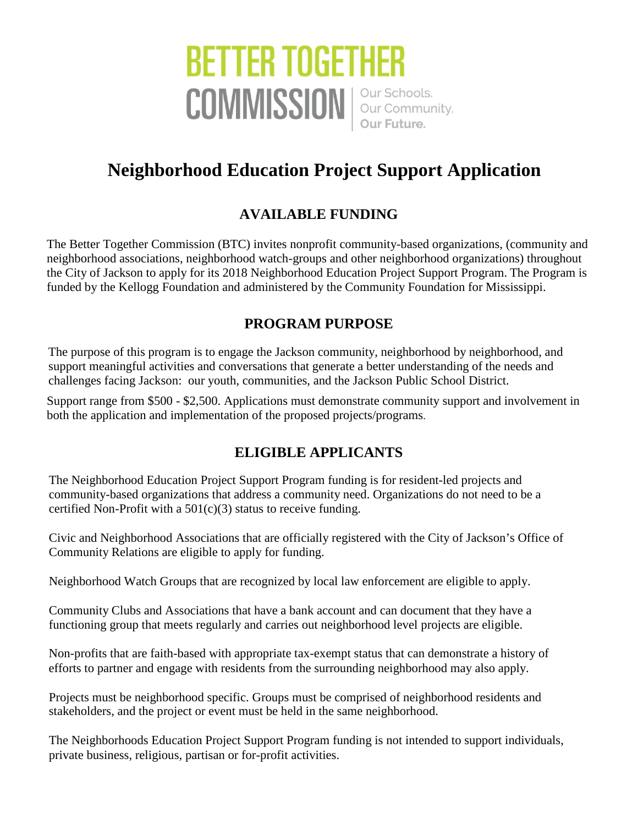# **BETTER TOGETHER** COMMISSION | Our Schools.

# **Neighborhood Education Project Support Application**

## **AVAILABLE FUNDING**

The Better Together Commission (BTC) invites nonprofit community-based organizations, (community and neighborhood associations, neighborhood watch-groups and other neighborhood organizations) throughout the City of Jackson to apply for its 2018 Neighborhood Education Project Support Program. The Program is funded by the Kellogg Foundation and administered by the Community Foundation for Mississippi.

#### **PROGRAM PURPOSE**

The purpose of this program is to engage the Jackson community, neighborhood by neighborhood, and support meaningful activities and conversations that generate a better understanding of the needs and challenges facing Jackson: our youth, communities, and the Jackson Public School District.

Support range from \$500 - \$2,500. Applications must demonstrate community support and involvement in both the application and implementation of the proposed projects/programs.

### **ELIGIBLE APPLICANTS**

The Neighborhood Education Project Support Program funding is for resident-led projects and community-based organizations that address a community need. Organizations do not need to be a certified Non-Profit with a 501(c)(3) status to receive funding.

Civic and Neighborhood Associations that are officially registered with the City of Jackson's Office of Community Relations are eligible to apply for funding.

Neighborhood Watch Groups that are recognized by local law enforcement are eligible to apply.

Community Clubs and Associations that have a bank account and can document that they have a functioning group that meets regularly and carries out neighborhood level projects are eligible.

Non-profits that are faith-based with appropriate tax-exempt status that can demonstrate a history of efforts to partner and engage with residents from the surrounding neighborhood may also apply.

Projects must be neighborhood specific. Groups must be comprised of neighborhood residents and stakeholders, and the project or event must be held in the same neighborhood.

The Neighborhoods Education Project Support Program funding is not intended to support individuals, private business, religious, partisan or for-profit activities..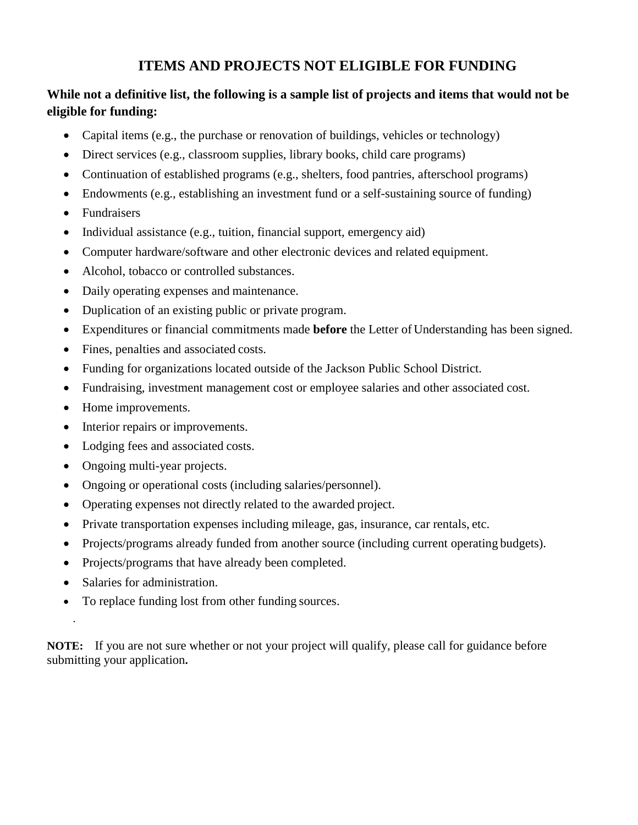#### **ITEMS AND PROJECTS NOT ELIGIBLE FOR FUNDING**

#### **While not a definitive list, the following is a sample list of projects and items that would not be eligible for funding:**

- Capital items (e.g., the purchase or renovation of buildings, vehicles or technology)
- Direct services (e.g., classroom supplies, library books, child care programs)
- Continuation of established programs (e.g., shelters, food pantries, afterschool programs)
- Endowments (e.g., establishing an investment fund or a self-sustaining source of funding)
- Fundraisers
- Individual assistance (e.g., tuition, financial support, emergency aid)
- Computer hardware/software and other electronic devices and related equipment.
- Alcohol, tobacco or controlled substances.
- Daily operating expenses and maintenance.
- Duplication of an existing public or private program.
- Expenditures or financial commitments made **before** the Letter of Understanding has been signed.
- Fines, penalties and associated costs.
- Funding for organizations located outside of the Jackson Public School District.
- Fundraising, investment management cost or employee salaries and other associated cost.
- Home improvements.
- Interior repairs or improvements.
- Lodging fees and associated costs.
- Ongoing multi-year projects.
- Ongoing or operational costs (including salaries/personnel).
- Operating expenses not directly related to the awarded project.
- Private transportation expenses including mileage, gas, insurance, car rentals, etc.
- Projects/programs already funded from another source (including current operating budgets).
- Projects/programs that have already been completed.
- Salaries for administration.

.

• To replace funding lost from other funding sources.

**NOTE:** If you are not sure whether or not your project will qualify, please call for guidance before submitting your application**.**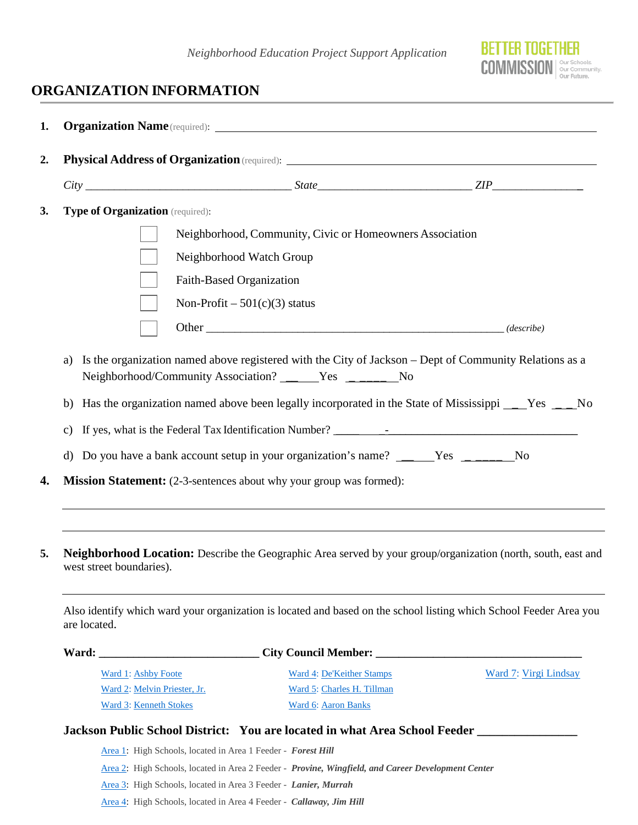

## **ORGANIZATION INFORMATION**

|              |                                                                                      | <b>Organization Name</b> (required): <u>Name (required</u> ): Name is not all the set of the set of the set of the set of the set of the set of the set of the set of the set of the set of the set of the set of the set of the set of t                                  |                       |
|--------------|--------------------------------------------------------------------------------------|----------------------------------------------------------------------------------------------------------------------------------------------------------------------------------------------------------------------------------------------------------------------------|-----------------------|
|              |                                                                                      |                                                                                                                                                                                                                                                                            |                       |
|              |                                                                                      |                                                                                                                                                                                                                                                                            |                       |
|              | Type of Organization (required):                                                     |                                                                                                                                                                                                                                                                            |                       |
|              |                                                                                      | Neighborhood, Community, Civic or Homeowners Association<br>Neighborhood Watch Group                                                                                                                                                                                       |                       |
|              | Faith-Based Organization                                                             |                                                                                                                                                                                                                                                                            |                       |
|              |                                                                                      | Non-Profit $-501(c)(3)$ status                                                                                                                                                                                                                                             |                       |
|              |                                                                                      |                                                                                                                                                                                                                                                                            |                       |
| b)<br>C)     |                                                                                      | Has the organization named above been legally incorporated in the State of Mississippi ____Yes ____No<br>d) Do you have a bank account setup in your organization's name? _____Yes _______No<br><b>Mission Statement:</b> (2-3-sentences about why your group was formed): |                       |
| are located. | west street boundaries).                                                             | <b>Neighborhood Location:</b> Describe the Geographic Area served by your group/organization (north, south, east and<br>Also identify which ward your organization is located and based on the school listing which School Feeder Area you                                 |                       |
|              |                                                                                      |                                                                                                                                                                                                                                                                            |                       |
|              | Ward 1: Ashby Foote<br>Ward 2: Melvin Priester, Jr.<br><b>Ward 3: Kenneth Stokes</b> | Ward 4: De'Keither Stamps<br>Ward 5: Charles H. Tillman<br>Ward 6: Aaron Banks                                                                                                                                                                                             | Ward 7: Virgi Lindsay |
|              |                                                                                      | Jackson Public School District: You are located in what Area School Feeder _________________________                                                                                                                                                                       |                       |
|              | Area 1: High Schools, located in Area 1 Feeder - Forest Hill                         |                                                                                                                                                                                                                                                                            |                       |
|              |                                                                                      | Area 2: High Schools, located in Area 2 Feeder - Provine, Wingfield, and Career Development Center                                                                                                                                                                         |                       |

[Area 3:](https://www.jackson.k12.ms.us/Page/2458) High Schools, located in Area 3 Feeder - *Lanier, Murrah*

[Area 4:](https://www.jackson.k12.ms.us/Page/2458) High Schools, located in Area 4 Feeder - *Callaway, Jim Hill*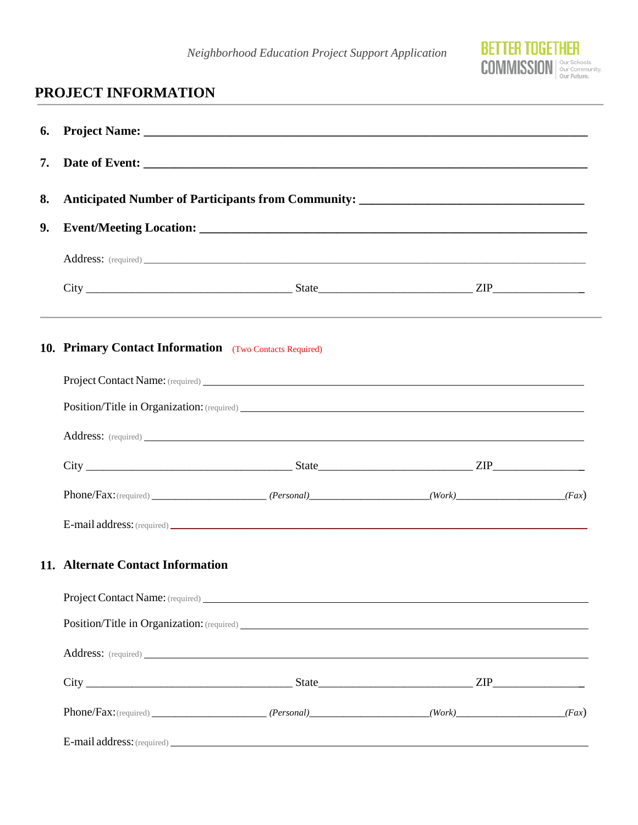*Neighborhood Education Project Support Application*



## **PROJECT INFORMATION**

| 6. |                                                                                    |  |                                                                                   |  |  |  |  |
|----|------------------------------------------------------------------------------------|--|-----------------------------------------------------------------------------------|--|--|--|--|
| 7. | Anticipated Number of Participants from Community: ______________________________  |  |                                                                                   |  |  |  |  |
| 8. |                                                                                    |  |                                                                                   |  |  |  |  |
| 9. |                                                                                    |  |                                                                                   |  |  |  |  |
|    |                                                                                    |  |                                                                                   |  |  |  |  |
|    |                                                                                    |  | ,我们也不能会有什么。""我们的人,我们也不能会有什么?""我们的人,我们也不能会有什么?""我们的人,我们也不能会有什么?""我们的人,我们也不能会有什么?"" |  |  |  |  |
|    | <b>10. Primary Contact Information</b> (Two Contacts Required)                     |  |                                                                                   |  |  |  |  |
|    | <b>Project Contact Name:</b> (required)                                            |  |                                                                                   |  |  |  |  |
|    |                                                                                    |  |                                                                                   |  |  |  |  |
|    | Address: (required)                                                                |  |                                                                                   |  |  |  |  |
|    |                                                                                    |  |                                                                                   |  |  |  |  |
|    | $[Personal] \qquad (Personal) \qquad (Personal) \qquad (Work) \qquad (Fax)$        |  |                                                                                   |  |  |  |  |
|    | E-mail address: (required)                                                         |  |                                                                                   |  |  |  |  |
|    | 11. Alternate Contact Information                                                  |  |                                                                                   |  |  |  |  |
|    |                                                                                    |  |                                                                                   |  |  |  |  |
|    |                                                                                    |  |                                                                                   |  |  |  |  |
|    | Address: (required)                                                                |  |                                                                                   |  |  |  |  |
|    |                                                                                    |  |                                                                                   |  |  |  |  |
|    | $Phone/Fax: (required) \qquad (Personal) \qquad (Work) \qquad (Work) \qquad (Fax)$ |  |                                                                                   |  |  |  |  |
|    |                                                                                    |  |                                                                                   |  |  |  |  |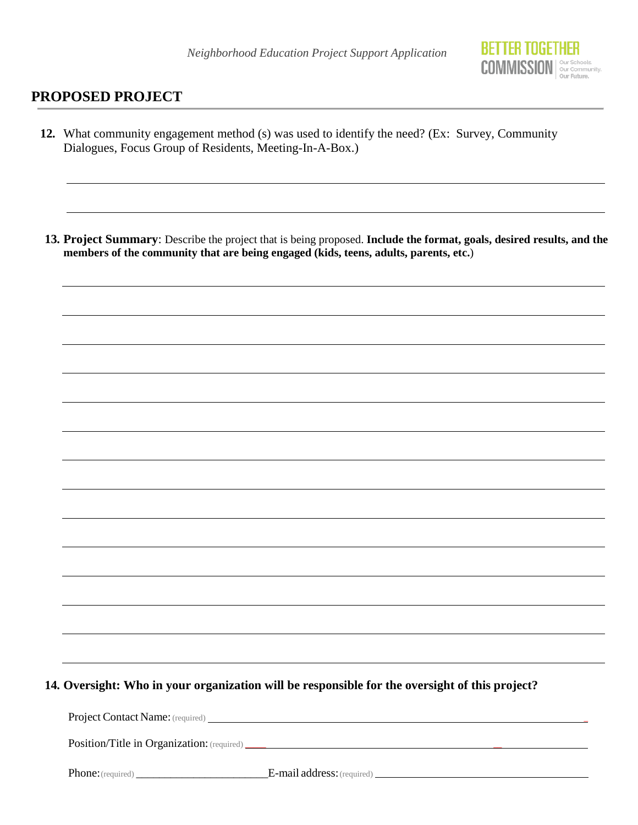

#### **PROPOSED PROJECT**

**12.** What community engagement method (s) was used to identify the need? (Ex: Survey, Community Dialogues, Focus Group of Residents, Meeting-In-A-Box.)

**13. Project Summary**: Describe the project that is being proposed. **Include the format, goals, desired results, and the members of the community that are being engaged (kids, teens, adults, parents, etc.**)

**14. Oversight: Who in your organization will be responsible for the oversight of this project?**

Project Contact Name: (required) \_

Position/Title in Organization: (required) \_\_\_\_\_ \_\_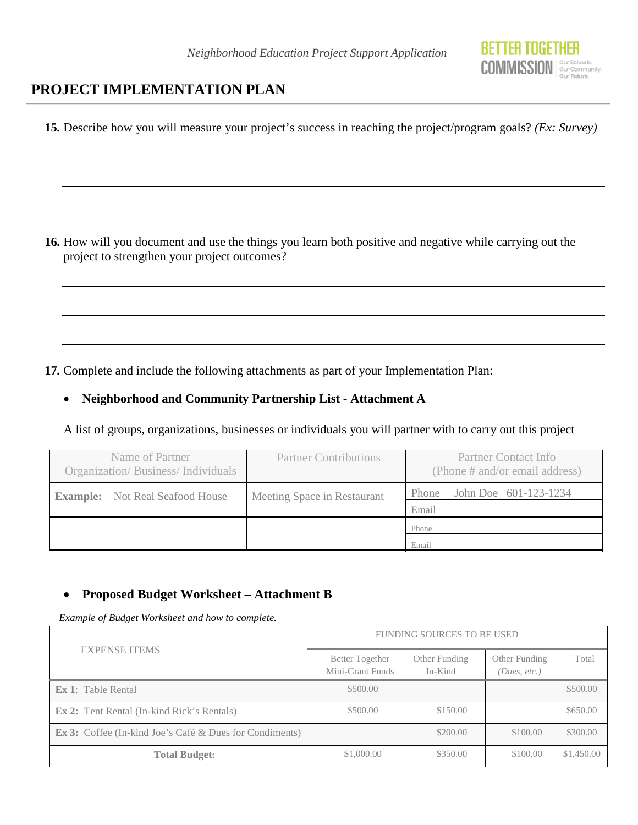

#### **PROJECT IMPLEMENTATION PLAN**

**15.** Describe how you will measure your project's success in reaching the project/program goals? *(Ex: Survey)* **16.** How will you document and use the things you learn both positive and negative while carrying out the project to strengthen your project outcomes? **17.** Complete and include the following attachments as part of your Implementation Plan: • **Neighborhood and Community Partnership List - Attachment A** A list of groups, organizations, businesses or individuals you will partner with to carry out this project Name of Partner Organization/ Business/ Individuals Partner Contributions Partner Contact Info (Phone # and/or email address) **Example:** Not Real Seafood House Meeting Space in Restaurant Phone John Doe 601-123-1234 Email Phone

#### • **Proposed Budget Worksheet – Attachment B**

*Example of Budget Worksheet and how to complete.*

|                                                                   | <b>FUNDING SOURCES TO BE USED</b>   |                          |                               |            |
|-------------------------------------------------------------------|-------------------------------------|--------------------------|-------------------------------|------------|
| <b>EXPENSE ITEMS</b>                                              | Better Together<br>Mini-Grant Funds | Other Funding<br>In-Kind | Other Funding<br>(Dues, etc.) | Total      |
| <b>Ex 1:</b> Table Rental                                         | \$500.00                            |                          |                               | \$500.00   |
| <b>Ex 2:</b> Tent Rental (In-kind Rick's Rentals)                 | \$500.00                            | \$150.00                 |                               | \$650.00   |
| <b>Ex 3:</b> Coffee (In-kind Joe's Café $\&$ Dues for Condiments) |                                     | \$200.00                 | \$100.00                      | \$300.00   |
| <b>Total Budget:</b>                                              | \$1,000.00                          | \$350.00                 | \$100.00                      | \$1,450.00 |

Email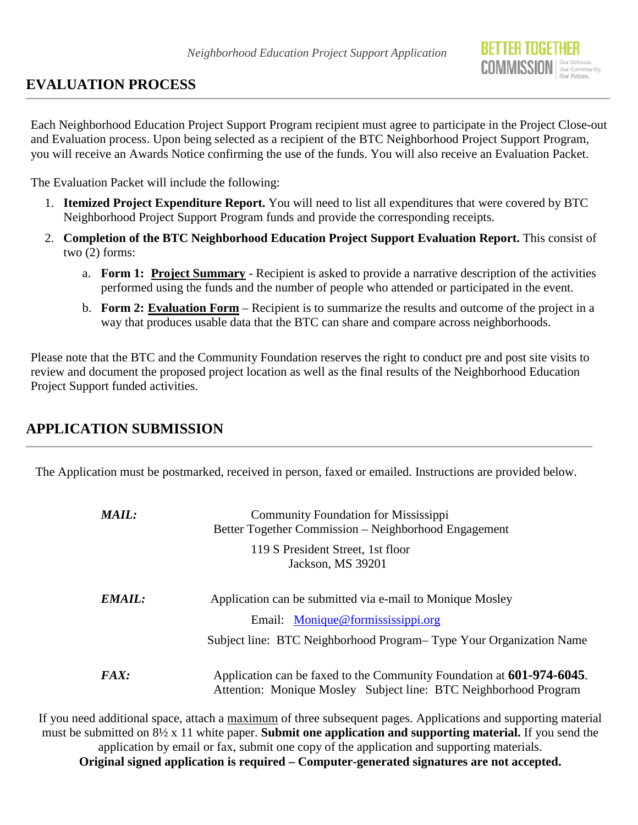## **EVALUATION PROCESS**

Each Neighborhood Education Project Support Program recipient must agree to participate in the Project Close-out and Evaluation process. Upon being selected as a recipient of the BTC Neighborhood Project Support Program, you will receive an Awards Notice confirming the use of the funds. You will also receive an Evaluation Packet.

The Evaluation Packet will include the following:

- 1. **Itemized Project Expenditure Report.** You will need to list all expenditures that were covered by BTC Neighborhood Project Support Program funds and provide the corresponding receipts.
- 2. **Completion of the BTC Neighborhood Education Project Support Evaluation Report.** This consist of two (2) forms:
	- a. **Form 1: Project Summary** Recipient is asked to provide a narrative description of the activities performed using the funds and the number of people who attended or participated in the event.
	- b. **Form 2: Evaluation Form** Recipient is to summarize the results and outcome of the project in a way that produces usable data that the BTC can share and compare across neighborhoods.

Please note that the BTC and the Community Foundation reserves the right to conduct pre and post site visits to review and document the proposed project location as well as the final results of the Neighborhood Education Project Support funded activities.

## **APPLICATION SUBMISSION**

The Application must be postmarked, received in person, faxed or emailed. Instructions are provided below.

| <b>MAIL:</b> | <b>Community Foundation for Mississippi</b><br>Better Together Commission – Neighborhood Engagement                                       |
|--------------|-------------------------------------------------------------------------------------------------------------------------------------------|
|              | 119 S President Street, 1st floor<br>Jackson, MS 39201                                                                                    |
| EMAIL:       | Application can be submitted via e-mail to Monique Mosley                                                                                 |
|              | Email: Monique@formississippi.org                                                                                                         |
|              | Subject line: BTC Neighborhood Program–Type Your Organization Name                                                                        |
| <i>FAX:</i>  | Application can be faxed to the Community Foundation at 601-974-6045.<br>Attention: Monique Mosley Subject line: BTC Neighborhood Program |

If you need additional space, attach a maximum of three subsequent pages. Applications and supporting material must be submitted on 8½ x 11 white paper. **Submit one application and supporting material.** If you send the application by email or fax, submit one copy of the application and supporting materials. **Original signed application is required – Computer-generated signatures are not accepted.**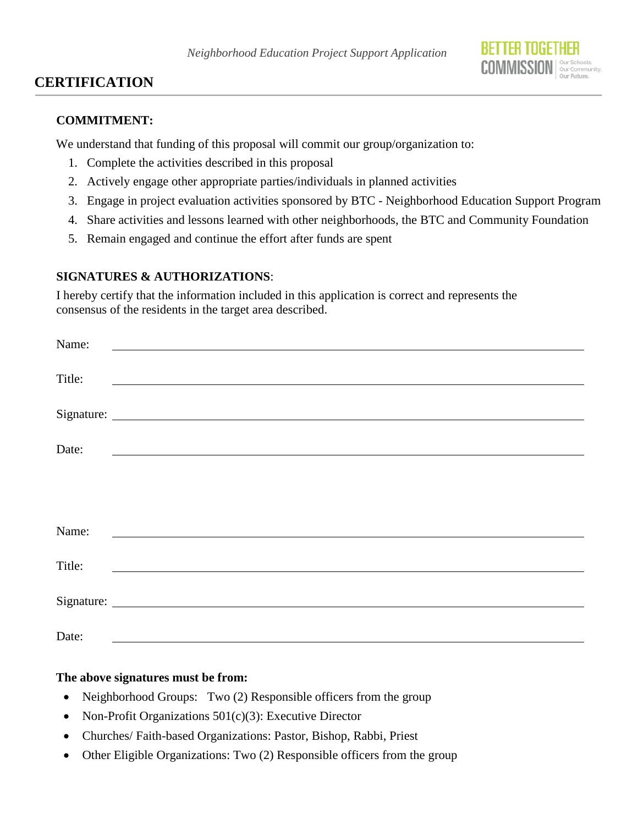

#### **CERTIFICATION**

#### **COMMITMENT:**

We understand that funding of this proposal will commit our group/organization to:

- 1. Complete the activities described in this proposal
- 2. Actively engage other appropriate parties/individuals in planned activities
- 3. Engage in project evaluation activities sponsored by BTC Neighborhood Education Support Program
- 4. Share activities and lessons learned with other neighborhoods, the BTC and Community Foundation
- 5. Remain engaged and continue the effort after funds are spent

#### **SIGNATURES & AUTHORIZATIONS**:

I hereby certify that the information included in this application is correct and represents the consensus of the residents in the target area described.

| Name:  | <u> 1989 - John Stein, mars and de Branch and de Branch and de Branch and de Branch and de Branch and de Branch an</u> |
|--------|------------------------------------------------------------------------------------------------------------------------|
| Title: |                                                                                                                        |
|        |                                                                                                                        |
| Date:  | <u> 1989 - Johann Stein, marwolaethau a bhann an t-Amhain Aonaichte ann an t-Amhain Aonaichte ann an t-Amhain Aon</u>  |
|        |                                                                                                                        |
|        |                                                                                                                        |
| Name:  |                                                                                                                        |
| Title: | <u> 1989 - Andrea Barbara, política esta</u>                                                                           |
|        |                                                                                                                        |
| Date:  |                                                                                                                        |

#### **The above signatures must be from:**

- Neighborhood Groups: Two (2) Responsible officers from the group
- Non-Profit Organizations 501(c)(3): Executive Director
- Churches/ Faith-based Organizations: Pastor, Bishop, Rabbi, Priest
- Other Eligible Organizations: Two (2) Responsible officers from the group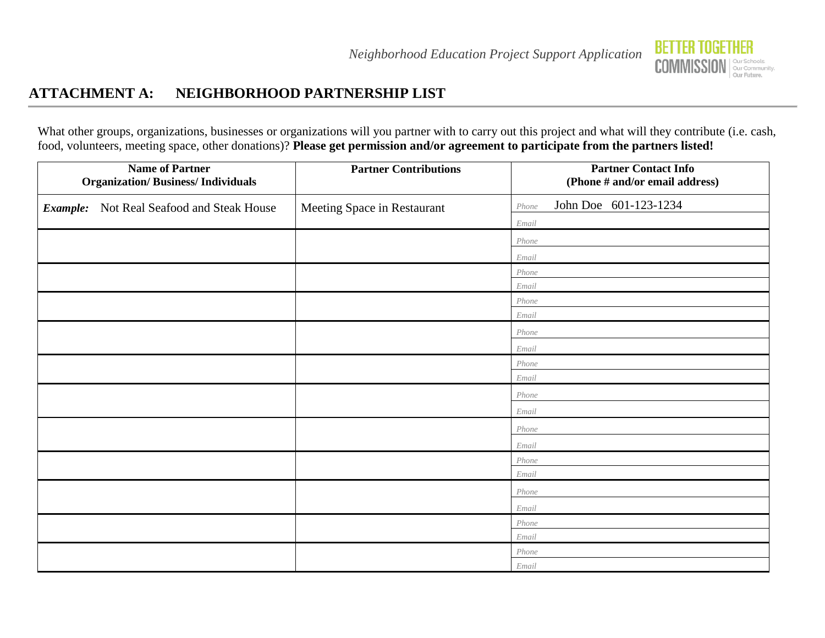

## **ATTACHMENT A: NEIGHBORHOOD PARTNERSHIP LIST**

What other groups, organizations, businesses or organizations will you partner with to carry out this project and what will they contribute (i.e. cash, food, volunteers, meeting space, other donations)? **Please get permission and/or agreement to participate from the partners listed!**

| <b>Name of Partner</b><br><b>Organization/Business/Individuals</b> | <b>Partner Contributions</b> | <b>Partner Contact Info</b><br>(Phone # and/or email address) |
|--------------------------------------------------------------------|------------------------------|---------------------------------------------------------------|
| Not Real Seafood and Steak House<br>Example:                       | Meeting Space in Restaurant  | John Doe 601-123-1234<br>Phone                                |
|                                                                    |                              | Email                                                         |
|                                                                    |                              | Phone                                                         |
|                                                                    |                              | Email                                                         |
|                                                                    |                              | Phone                                                         |
|                                                                    |                              | Email                                                         |
|                                                                    |                              | Phone                                                         |
|                                                                    |                              | Email                                                         |
|                                                                    |                              | Phone                                                         |
|                                                                    |                              | Email                                                         |
|                                                                    |                              | Phone                                                         |
|                                                                    |                              | Email                                                         |
|                                                                    |                              | Phone                                                         |
|                                                                    |                              | Email                                                         |
|                                                                    |                              | Phone                                                         |
|                                                                    |                              | Email                                                         |
|                                                                    |                              | Phone                                                         |
|                                                                    |                              | Email                                                         |
|                                                                    |                              | Phone                                                         |
|                                                                    |                              | Email                                                         |
|                                                                    |                              | Phone                                                         |
|                                                                    |                              | Email                                                         |
|                                                                    |                              | Phone                                                         |
|                                                                    |                              | Email                                                         |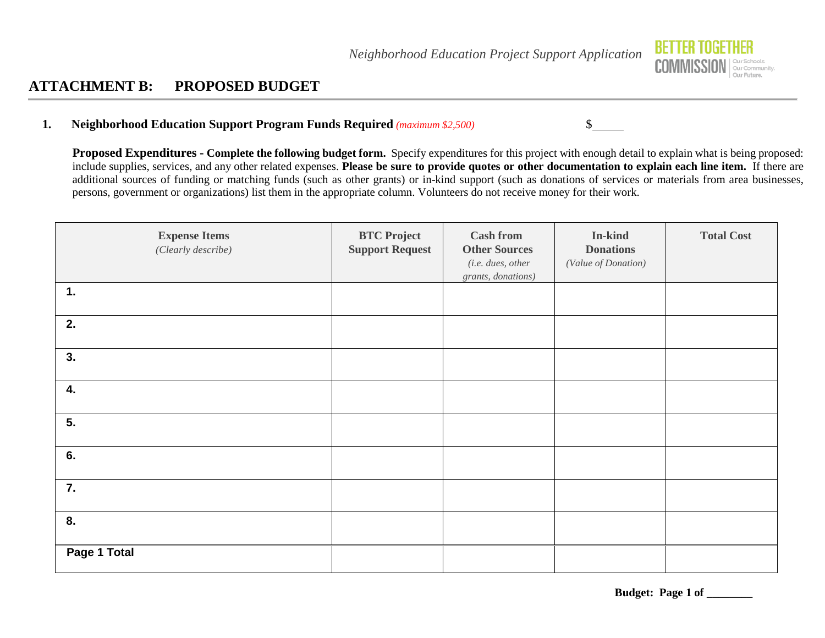

#### **ATTACHMENT B: PROPOSED BUDGET**

#### **1. Neighborhood Education Support Program Funds Required** *(maximum \$2,500)* \$

**Proposed Expenditures - Complete the following budget form.** Specify expenditures for this project with enough detail to explain what is being proposed: include supplies, services, and any other related expenses. **Please be sure to provide quotes or other documentation to explain each line item.** If there are additional sources of funding or matching funds (such as other grants) or in-kind support (such as donations of services or materials from area businesses, persons, government or organizations) list them in the appropriate column. Volunteers do not receive money for their work.

| <b>Expense Items</b><br>(Clearly describe) | <b>BTC Project</b><br><b>Support Request</b> | <b>Cash from</b><br><b>Other Sources</b><br>(i.e. dues, other<br>grants, donations) | In-kind<br><b>Donations</b><br>(Value of Donation) | <b>Total Cost</b> |
|--------------------------------------------|----------------------------------------------|-------------------------------------------------------------------------------------|----------------------------------------------------|-------------------|
| 1.                                         |                                              |                                                                                     |                                                    |                   |
| 2.                                         |                                              |                                                                                     |                                                    |                   |
| 3.                                         |                                              |                                                                                     |                                                    |                   |
| 4.                                         |                                              |                                                                                     |                                                    |                   |
| 5.                                         |                                              |                                                                                     |                                                    |                   |
| 6.                                         |                                              |                                                                                     |                                                    |                   |
| 7.                                         |                                              |                                                                                     |                                                    |                   |
| 8.                                         |                                              |                                                                                     |                                                    |                   |
| Page 1 Total                               |                                              |                                                                                     |                                                    |                   |